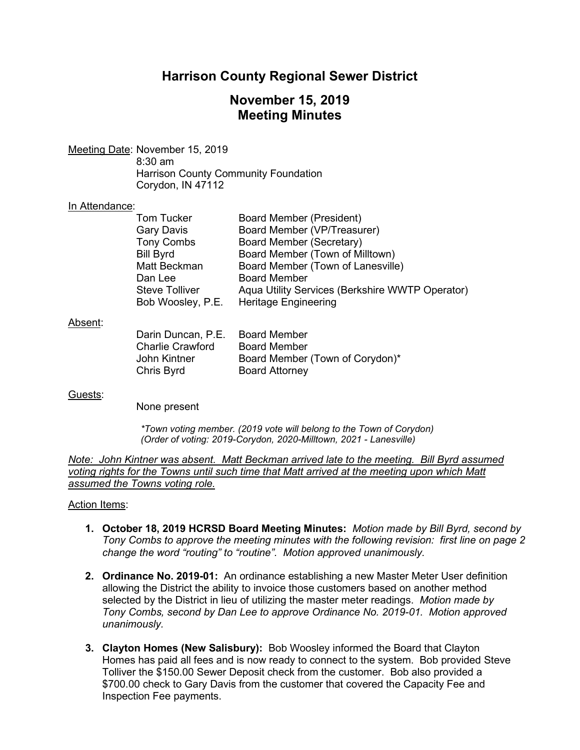# **Harrison County Regional Sewer District**

## **November 15, 2019 Meeting Minutes**

Meeting Date: November 15, 2019 8:30 am Harrison County Community Foundation Corydon, IN 47112

### In Attendance:

| Aqua Utility Services (Berkshire WWTP Operator) |
|-------------------------------------------------|
|                                                 |
|                                                 |

#### Absent:

| Darin Duncan, P.E.      | <b>Board Member</b>             |
|-------------------------|---------------------------------|
| <b>Charlie Crawford</b> | <b>Board Member</b>             |
| John Kintner            | Board Member (Town of Corydon)* |
| Chris Byrd              | <b>Board Attorney</b>           |
|                         |                                 |

### Guests:

None present

*\*Town voting member. (2019 vote will belong to the Town of Corydon) (Order of voting: 2019-Corydon, 2020-Milltown, 2021 - Lanesville)*

*Note: John Kintner was absent. Matt Beckman arrived late to the meeting. Bill Byrd assumed voting rights for the Towns until such time that Matt arrived at the meeting upon which Matt assumed the Towns voting role.*

### Action Items:

- **1. October 18, 2019 HCRSD Board Meeting Minutes:** *Motion made by Bill Byrd, second by Tony Combs to approve the meeting minutes with the following revision: first line on page 2 change the word "routing" to "routine". Motion approved unanimously.*
- **2. Ordinance No. 2019-01:** An ordinance establishing a new Master Meter User definition allowing the District the ability to invoice those customers based on another method selected by the District in lieu of utilizing the master meter readings. *Motion made by Tony Combs, second by Dan Lee to approve Ordinance No. 2019-01. Motion approved unanimously.*
- **3. Clayton Homes (New Salisbury):** Bob Woosley informed the Board that Clayton Homes has paid all fees and is now ready to connect to the system. Bob provided Steve Tolliver the \$150.00 Sewer Deposit check from the customer. Bob also provided a \$700.00 check to Gary Davis from the customer that covered the Capacity Fee and Inspection Fee payments.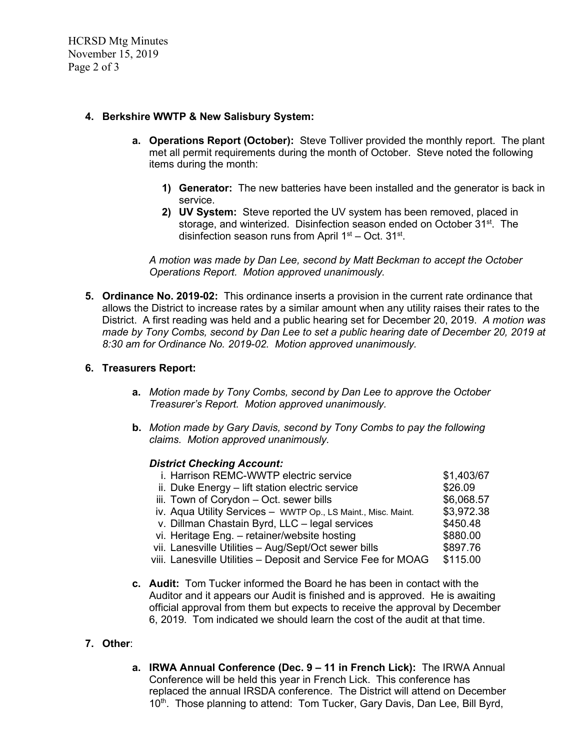HCRSD Mtg Minutes November 15, 2019 Page 2 of 3

## **4. Berkshire WWTP & New Salisbury System:**

- **a. Operations Report (October):** Steve Tolliver provided the monthly report. The plant met all permit requirements during the month of October. Steve noted the following items during the month:
	- **1) Generator:** The new batteries have been installed and the generator is back in service.
	- **2) UV System:** Steve reported the UV system has been removed, placed in storage, and winterized. Disinfection season ended on October 31<sup>st</sup>. The disinfection season runs from April  $1<sup>st</sup> - Oct. 31<sup>st</sup>$ .

*A motion was made by Dan Lee, second by Matt Beckman to accept the October Operations Report. Motion approved unanimously.*

**5. Ordinance No. 2019-02:** This ordinance inserts a provision in the current rate ordinance that allows the District to increase rates by a similar amount when any utility raises their rates to the District. A first reading was held and a public hearing set for December 20, 2019. *A motion was made by Tony Combs, second by Dan Lee to set a public hearing date of December 20, 2019 at 8:30 am for Ordinance No. 2019-02. Motion approved unanimously.*

## **6. Treasurers Report:**

- **a.** *Motion made by Tony Combs, second by Dan Lee to approve the October Treasurer's Report. Motion approved unanimously.*
- **b.** *Motion made by Gary Davis, second by Tony Combs to pay the following claims. Motion approved unanimously.*

### *District Checking Account:*

| i. Harrison REMC-WWTP electric service                        | \$1,403/67 |
|---------------------------------------------------------------|------------|
| ii. Duke Energy - lift station electric service               | \$26.09    |
| iii. Town of Corydon - Oct. sewer bills                       | \$6,068.57 |
| iv. Aqua Utility Services - WWTP Op., LS Maint., Misc. Maint. | \$3,972.38 |
| v. Dillman Chastain Byrd, LLC - legal services                | \$450.48   |
| vi. Heritage Eng. - retainer/website hosting                  | \$880.00   |
| vii. Lanesville Utilities - Aug/Sept/Oct sewer bills          | \$897.76   |
| viii. Lanesville Utilities – Deposit and Service Fee for MOAG | \$115.00   |
|                                                               |            |

**c. Audit:** Tom Tucker informed the Board he has been in contact with the Auditor and it appears our Audit is finished and is approved. He is awaiting official approval from them but expects to receive the approval by December 6, 2019. Tom indicated we should learn the cost of the audit at that time.

## **7. Other**:

**a. IRWA Annual Conference (Dec. 9 – 11 in French Lick):** The IRWA Annual Conference will be held this year in French Lick. This conference has replaced the annual IRSDA conference. The District will attend on December 10<sup>th</sup>. Those planning to attend: Tom Tucker, Gary Davis, Dan Lee, Bill Byrd,